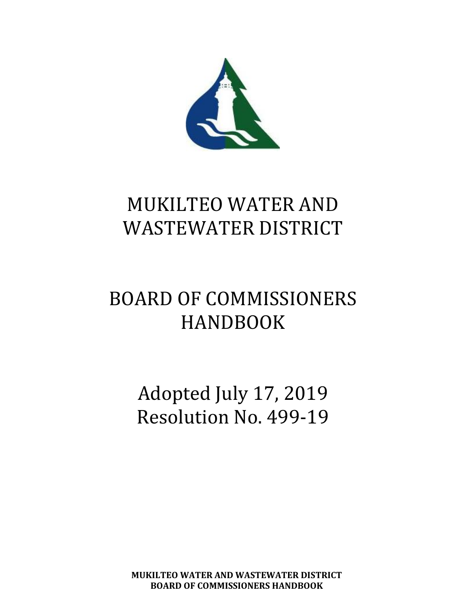

# MUKILTEO WATER AND WASTEWATER DISTRICT

# BOARD OF COMMISSIONERS HANDBOOK

Adopted July 17, 2019 Resolution No. 499-19

**MUKILTEO WATER AND WASTEWATER DISTRICT BOARD OF COMMISSIONERS HANDBOOK**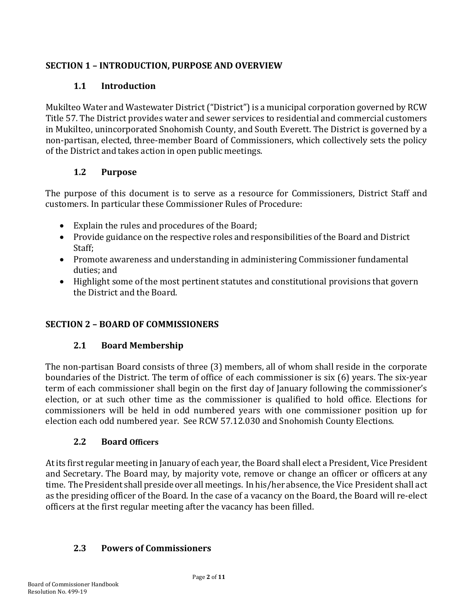#### **SECTION 1 – INTRODUCTION, PURPOSE AND OVERVIEW**

#### **1.1 Introduction**

Mukilteo Water and Wastewater District ("District")is a municipal corporation governed by RCW Title 57. The District provides water and sewer services to residential and commercial customers in Mukilteo, unincorporated Snohomish County, and South Everett. The District is governed by a non-partisan, elected, three-member Board of Commissioners, which collectively sets the policy of the District and takes action in open public meetings.

#### **1.2 Purpose**

The purpose of this document is to serve as a resource for Commissioners, District Staff and customers. In particular these Commissioner Rules of Procedure:

- Explain the rules and procedures of the Board;
- Provide guidance on the respective roles and responsibilities of the Board and District Staff;
- Promote awareness and understanding in administering Commissioner fundamental duties; and
- Highlight some of the most pertinent statutes and constitutional provisions that govern the District and the Board.

#### **SECTION 2 – BOARD OF COMMISSIONERS**

#### **2.1 Board Membership**

The non-partisan Board consists of three (3) members, all of whom shall reside in the corporate boundaries of the District. The term of office of each commissioner is six (6) years. The six-year term of each commissioner shall begin on the first day of January following the commissioner's election, or at such other time as the commissioner is qualified to hold office. Elections for commissioners will be held in odd numbered years with one commissioner position up for election each odd numbered year. See RCW 57.12.030 and Snohomish County Elections.

#### **2.2 Board Officers**

At its first regular meeting in January of each year, the Board shall elect a President, Vice President and Secretary. The Board may, by majority vote, remove or change an officer or officers at any time. The President shall preside over all meetings. In his/her absence, the Vice President shall act as the presiding officer of the Board. In the case of a vacancy on the Board, the Board will re-elect officers at the first regular meeting after the vacancy has been filled.

#### **2.3 Powers of Commissioners**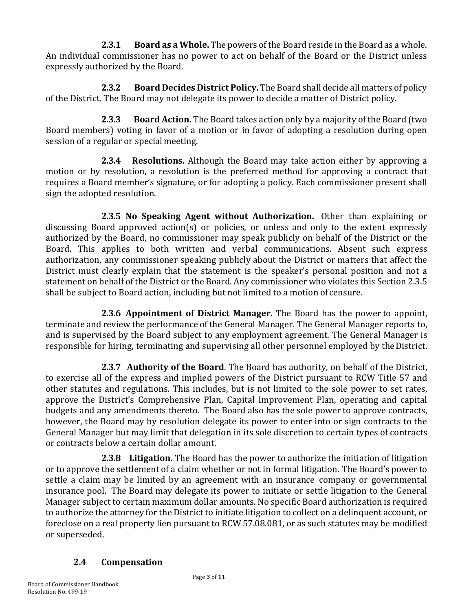**2.3.1 Board as a Whole.** The powers of the Board reside in the Board as a whole. An individual commissioner has no power to act on behalf of the Board or the District unless expressly authorized by the Board.

**2.3.2 Board Decides District Policy.** The Board shall decide all matters of policy of the District. The Board may not delegate its power to decide a matter of District policy.

**2.3.3 Board Action.** The Board takes action only by a majority of the Board (two Board members) voting in favor of a motion or in favor of adopting a resolution during open session of a regular or special meeting.

**2.3.4 Resolutions.** Although the Board may take action either by approving a motion or by resolution, a resolution is the preferred method for approving a contract that requires a Board member's signature, or for adopting a policy. Each commissioner present shall sign the adopted resolution.

**2.3.5 No Speaking Agent without Authorization.** Other than explaining or discussing Board approved action(s) or policies, or unless and only to the extent expressly authorized by the Board, no commissioner may speak publicly on behalf of the District or the Board. This applies to both written and verbal communications. Absent such express authorization, any commissioner speaking publicly about the District or matters that affect the District must clearly explain that the statement is the speaker's personal position and not a statement on behalf of the District or the Board. Any commissioner who violates this Section 2.3.5 shall be subject to Board action, including but not limited to a motion of censure.

**2.3.6 Appointment of District Manager.** The Board has the power to appoint, terminate and review the performance of the General Manager. The General Manager reports to, and is supervised by the Board subject to any employment agreement. The General Manager is responsible for hiring, terminating and supervising all other personnel employed by theDistrict.

**2.3.7 Authority of the Board**. The Board has authority, on behalf of the District, to exercise all of the express and implied powers of the District pursuant to RCW Title 57 and other statutes and regulations. This includes, but is not limited to the sole power to set rates, approve the District's Comprehensive Plan, Capital Improvement Plan, operating and capital budgets and any amendments thereto. The Board also has the sole power to approve contracts, however, the Board may by resolution delegate its power to enter into or sign contracts to the General Manager but may limit that delegation in its sole discretion to certain types of contracts or contracts below a certain dollar amount.

**2.3.8 Litigation.** The Board has the power to authorize the initiation of litigation or to approve the settlement of a claim whether or not in formal litigation. The Board's power to settle a claim may be limited by an agreement with an insurance company or governmental insurance pool. The Board may delegate its power to initiate or settle litigation to the General Manager subject to certain maximum dollar amounts. No specific Board authorization is required to authorize the attorney for the District to initiate litigation to collect on a delinquent account, or foreclose on a real property lien pursuant to RCW 57.08.081, or as such statutes may be modified or superseded.

#### **2.4 Compensation**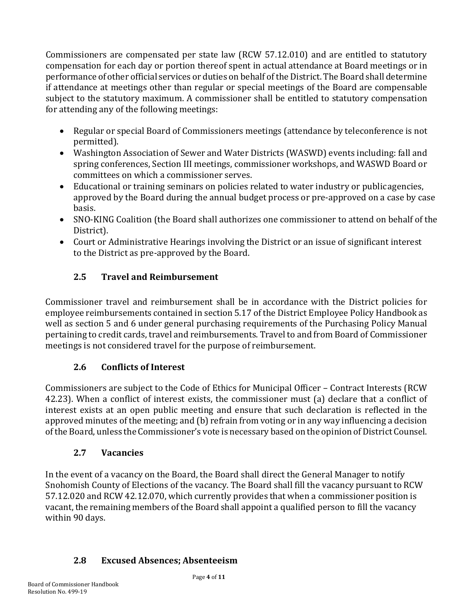Commissioners are compensated per state law (RCW 57.12.010) and are entitled to statutory compensation for each day or portion thereof spent in actual attendance at Board meetings or in performance of other official services or duties on behalf of the District. The Board shall determine if attendance at meetings other than regular or special meetings of the Board are compensable subject to the statutory maximum. A commissioner shall be entitled to statutory compensation for attending any of the following meetings:

- Regular or special Board of Commissioners meetings (attendance by teleconference is not permitted).
- Washington Association of Sewer and Water Districts (WASWD) events including: fall and spring conferences, Section III meetings, commissioner workshops, and WASWD Board or committees on which a commissioner serves.
- Educational or training seminars on policies related to water industry or publicagencies, approved by the Board during the annual budget process or pre-approved on a case by case basis.
- SNO-KING Coalition (the Board shall authorizes one commissioner to attend on behalf of the District).
- Court or Administrative Hearings involving the District or an issue of significant interest to the District as pre-approved by the Board.

# **2.5 Travel and Reimbursement**

Commissioner travel and reimbursement shall be in accordance with the District policies for employee reimbursements contained in section 5.17 of the District Employee Policy Handbook as well as section 5 and 6 under general purchasing requirements of the Purchasing Policy Manual pertaining to credit cards, travel and reimbursements. Travel to and from Board of Commissioner meetings is not considered travel for the purpose of reimbursement.

# **2.6 Conflicts of Interest**

Commissioners are subject to the Code of Ethics for Municipal Officer – Contract Interests (RCW 42.23). When a conflict of interest exists, the commissioner must (a) declare that a conflict of interest exists at an open public meeting and ensure that such declaration is reflected in the approved minutes of the meeting; and (b) refrain from voting or in any way influencing a decision of the Board, unless the Commissioner's vote is necessary based on the opinion of District Counsel.

#### **2.7 Vacancies**

In the event of a vacancy on the Board, the Board shall direct the General Manager to notify Snohomish County of Elections of the vacancy. The Board shall fill the vacancy pursuant to RCW 57.12.020 and RCW 42.12.070, which currently provides that when a commissioner position is vacant, the remaining members of the Board shall appoint a qualified person to fill the vacancy within 90 days.

# **2.8 Excused Absences; Absenteeism**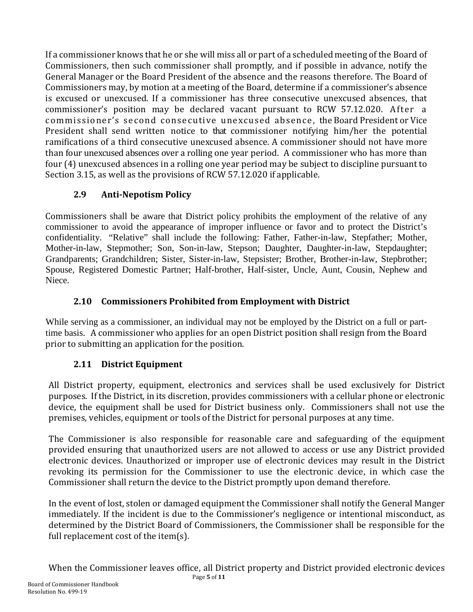If a commissioner knows that he or she will miss all or part of a scheduled meeting of the Board of Commissioners, then such commissioner shall promptly, and if possible in advance, notify the General Manager or the Board President of the absence and the reasons therefore. The Board of Commissioners may, by motion at a meeting of the Board, determine if a commissioner's absence is excused or unexcused. If a commissioner has three consecutive unexcused absences, that commissioner's position may be declared vacant pursuant to RCW 57.12.020. After a commissioner's second consecutive unexcused absence, the Board President or Vice President shall send written notice to that commissioner notifying him/her the potential ramifications of a third consecutive unexcused absence. A commissioner should not have more than four unexcused absences over a rolling one year period. A commissioner who has more than four (4) unexcused absences in a rolling one year period may be subject to discipline pursuant to Section 3.15, as well as the provisions of RCW 57.12.020 if applicable.

# **2.9 Anti-Nepotism Policy**

Commissioners shall be aware that District policy prohibits the employment of the relative of any commissioner to avoid the appearance of improper influence or favor and to protect the District's confidentiality. "Relative" shall include the following: Father, Father-in-law, Stepfather; Mother, Mother-in-law, Stepmother; Son, Son-in-law, Stepson; Daughter, Daughter-in-law, Stepdaughter; Grandparents; Grandchildren; Sister, Sister-in-law, Stepsister; Brother, Brother-in-law, Stepbrother; Spouse, Registered Domestic Partner; Half-brother, Half-sister, Uncle, Aunt, Cousin, Nephew and Niece.

#### **2.10 Commissioners Prohibited from Employment with District**

While serving as a commissioner, an individual may not be employed by the District on a full or parttime basis. A commissioner who applies for an open District position shall resign from the Board prior to submitting an application for the position.

#### **2.11 District Equipment**

All District property, equipment, electronics and services shall be used exclusively for District purposes. If the District, in its discretion, provides commissioners with a cellular phone or electronic device, the equipment shall be used for District business only. Commissioners shall not use the premises, vehicles, equipment or tools of the District for personal purposes at any time.

The Commissioner is also responsible for reasonable care and safeguarding of the equipment provided ensuring that unauthorized users are not allowed to access or use any District provided electronic devices. Unauthorized or improper use of electronic devices may result in the District revoking its permission for the Commissioner to use the electronic device, in which case the Commissioner shall return the device to the District promptly upon demand therefore.

In the event of lost, stolen or damaged equipment the Commissioner shall notify the General Manger immediately. If the incident is due to the Commissioner's negligence or intentional misconduct, as determined by the District Board of Commissioners, the Commissioner shall be responsible for the full replacement cost of the item(s).

Page **5** of **11** When the Commissioner leaves office, all District property and District provided electronic devices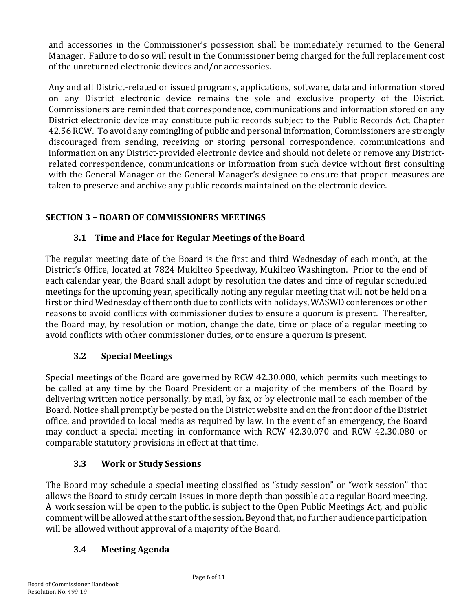and accessories in the Commissioner's possession shall be immediately returned to the General Manager. Failure to do so will result in the Commissioner being charged for the full replacement cost of the unreturned electronic devices and/or accessories.

Any and all District-related or issued programs, applications, software, data and information stored on any District electronic device remains the sole and exclusive property of the District. Commissioners are reminded that correspondence, communications and information stored on any District electronic device may constitute public records subject to the Public Records Act, Chapter 42.56 RCW. To avoid any comingling of public and personal information, Commissioners are strongly discouraged from sending, receiving or storing personal correspondence, communications and information on any District-provided electronic device and should not delete or remove any Districtrelated correspondence, communications or information from such device without first consulting with the General Manager or the General Manager's designee to ensure that proper measures are taken to preserve and archive any public records maintained on the electronic device.

### **SECTION 3 – BOARD OF COMMISSIONERS MEETINGS**

#### **3.1 Time and Place for Regular Meetings of the Board**

The regular meeting date of the Board is the first and third Wednesday of each month, at the District's Office, located at 7824 Mukilteo Speedway, Mukilteo Washington. Prior to the end of each calendar year, the Board shall adopt by resolution the dates and time of regular scheduled meetings for the upcoming year, specifically noting any regular meeting that will not be held on a first or third Wednesday of themonth due to conflicts with holidays, WASWD conferences or other reasons to avoid conflicts with commissioner duties to ensure a quorum is present. Thereafter, the Board may, by resolution or motion, change the date, time or place of a regular meeting to avoid conflicts with other commissioner duties, or to ensure a quorum is present.

#### **3.2 Special Meetings**

Special meetings of the Board are governed by RCW 42.30.080, which permits such meetings to be called at any time by the Board President or a majority of the members of the Board by delivering written notice personally, by mail, by fax, or by electronic mail to each member of the Board. Notice shall promptly be posted on the District website and on the front door of the District office, and provided to local media as required by law. In the event of an emergency, the Board may conduct a special meeting in conformance with RCW 42.30.070 and RCW 42.30.080 or comparable statutory provisions in effect at that time.

#### **3.3 Work or Study Sessions**

The Board may schedule a special meeting classified as "study session" or "work session" that allows the Board to study certain issues in more depth than possible at a regular Board meeting. A work session will be open to the public, is subject to the Open Public Meetings Act, and public comment will be allowed at the start of the session. Beyond that, no further audience participation will be allowed without approval of a majority of the Board.

# **3.4 Meeting Agenda**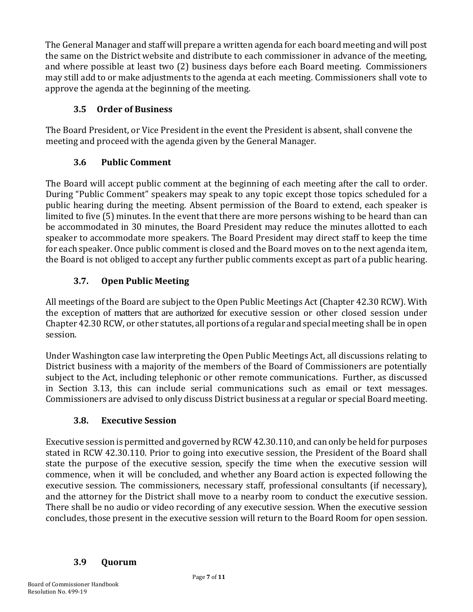The General Manager and staff will prepare a written agenda for each board meeting and will post the same on the District website and distribute to each commissioner in advance of the meeting, and where possible at least two (2) business days before each Board meeting. Commissioners may still add to or make adjustments to the agenda at each meeting. Commissioners shall vote to approve the agenda at the beginning of the meeting.

#### **3.5 Order of Business**

The Board President, or Vice President in the event the President is absent, shall convene the meeting and proceed with the agenda given by the General Manager.

#### **3.6 Public Comment**

The Board will accept public comment at the beginning of each meeting after the call to order. During "Public Comment" speakers may speak to any topic except those topics scheduled for a public hearing during the meeting. Absent permission of the Board to extend, each speaker is limited to five (5) minutes. In the event that there are more persons wishing to be heard than can be accommodated in 30 minutes, the Board President may reduce the minutes allotted to each speaker to accommodate more speakers. The Board President may direct staff to keep the time for each speaker. Once public comment is closed and the Board moves on to the next agenda item, the Board is not obliged to accept any further public comments except as part of a public hearing.

# **3.7. Open Public Meeting**

All meetings of the Board are subject to the Open Public Meetings Act (Chapter 42.30 RCW). With the exception of matters that are authorized for executive session or other closed session under Chapter 42.30 RCW, or other statutes, all portions of a regular and special meeting shall be in open session.

Under Washington case law interpreting the Open Public Meetings Act, all discussions relating to District business with a majority of the members of the Board of Commissioners are potentially subject to the Act, including telephonic or other remote communications. Further, as discussed in Section 3.13, this can include serial communications such as email or text messages. Commissioners are advised to only discuss District business at a regular or special Board meeting.

#### **3.8. Executive Session**

Executive session is permitted and governed by RCW 42.30.110, and can only be held for purposes stated in RCW 42.30.110. Prior to going into executive session, the President of the Board shall state the purpose of the executive session, specify the time when the executive session will commence, when it will be concluded, and whether any Board action is expected following the executive session. The commissioners, necessary staff, professional consultants (if necessary), and the attorney for the District shall move to a nearby room to conduct the executive session. There shall be no audio or video recording of any executive session. When the executive session concludes, those present in the executive session will return to the Board Room for open session.

#### **3.9 Quorum**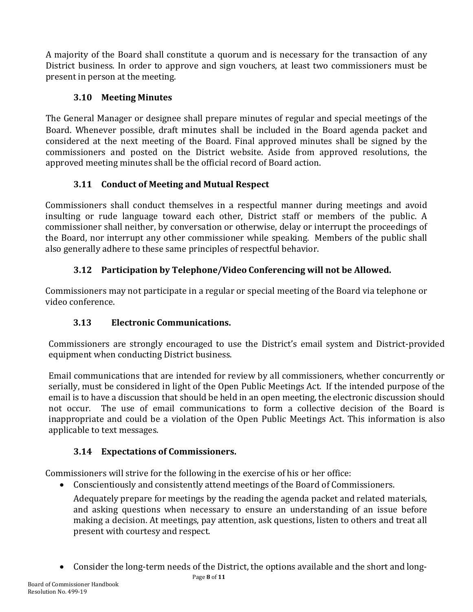A majority of the Board shall constitute a quorum and is necessary for the transaction of any District business. In order to approve and sign vouchers, at least two commissioners must be present in person at the meeting.

### **3.10 Meeting Minutes**

The General Manager or designee shall prepare minutes of regular and special meetings of the Board. Whenever possible, draft minutes shall be included in the Board agenda packet and considered at the next meeting of the Board. Final approved minutes shall be signed by the commissioners and posted on the District website. Aside from approved resolutions, the approved meeting minutes shall be the official record of Board action.

# **3.11 Conduct of Meeting and Mutual Respect**

Commissioners shall conduct themselves in a respectful manner during meetings and avoid insulting or rude language toward each other, District staff or members of the public. A commissioner shall neither, by conversation or otherwise, delay or interrupt the proceedings of the Board, nor interrupt any other commissioner while speaking. Members of the public shall also generally adhere to these same principles of respectful behavior.

# **3.12 Participation by Telephone/Video Conferencing will not be Allowed.**

Commissioners may not participate in a regular or special meeting of the Board via telephone or video conference.

# **3.13 Electronic Communications.**

Commissioners are strongly encouraged to use the District's email system and District-provided equipment when conducting District business.

Email communications that are intended for review by all commissioners, whether concurrently or serially, must be considered in light of the Open Public Meetings Act. If the intended purpose of the email is to have a discussion that should be held in an open meeting, the electronic discussion should not occur. The use of email communications to form a collective decision of the Board is inappropriate and could be a violation of the Open Public Meetings Act. This information is also applicable to text messages.

# **3.14 Expectations of Commissioners.**

Commissioners will strive for the following in the exercise of his or her office:

• Conscientiously and consistently attend meetings of the Board of Commissioners.

Adequately prepare for meetings by the reading the agenda packet and related materials, and asking questions when necessary to ensure an understanding of an issue before making a decision. At meetings, pay attention, ask questions, listen to others and treat all present with courtesy and respect.

• Consider the long-term needs of the District, the options available and the short and long-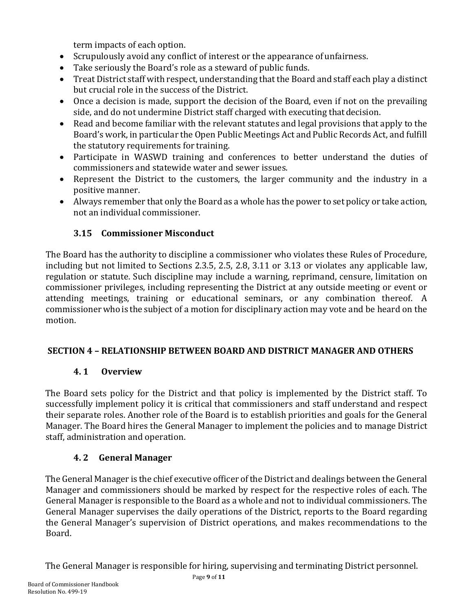term impacts of each option.

- Scrupulously avoid any conflict of interest or the appearance of unfairness.
- Take seriously the Board's role as a steward of public funds.<br>• Treat District staff with respect understanding that the Board
- Treat District staff with respect, understanding that the Board and staff each play a distinct but crucial role in the success of the District.
- Once a decision is made, support the decision of the Board, even if not on the prevailing side, and do not undermine District staff charged with executing thatdecision.
- Read and become familiar with the relevant statutes and legal provisions that apply to the Board's work, in particular the Open Public Meetings Act and Public Records Act, and fulfill the statutory requirements for training.
- Participate in WASWD training and conferences to better understand the duties of commissioners and statewide water and sewer issues.
- Represent the District to the customers, the larger community and the industry in a positive manner.
- Always remember that only the Board as a whole has the power to set policy or take action, not an individual commissioner.

### **3.15 Commissioner Misconduct**

The Board has the authority to discipline a commissioner who violates these Rules of Procedure, including but not limited to Sections 2.3.5, 2.5, 2.8, 3.11 or 3.13 or violates any applicable law, regulation or statute. Such discipline may include a warning, reprimand, censure, limitation on commissioner privileges, including representing the District at any outside meeting or event or attending meetings, training or educational seminars, or any combination thereof. A commissionerwho is the subject of a motion for disciplinary action may vote and be heard on the motion.

#### **SECTION 4 – RELATIONSHIP BETWEEN BOARD AND DISTRICT MANAGER AND OTHERS**

#### **4. 1 Overview**

The Board sets policy for the District and that policy is implemented by the District staff. To successfully implement policy it is critical that commissioners and staff understand and respect their separate roles. Another role of the Board is to establish priorities and goals for the General Manager. The Board hires the General Manager to implement the policies and to manage District staff, administration and operation.

#### **4. 2 General Manager**

The General Manager is the chief executive officer of the District and dealings between the General Manager and commissioners should be marked by respect for the respective roles of each. The General Manager is responsible to the Board as a whole and not to individual commissioners. The General Manager supervises the daily operations of the District, reports to the Board regarding the General Manager's supervision of District operations, and makes recommendations to the Board.

The General Manager is responsible for hiring, supervising and terminating District personnel.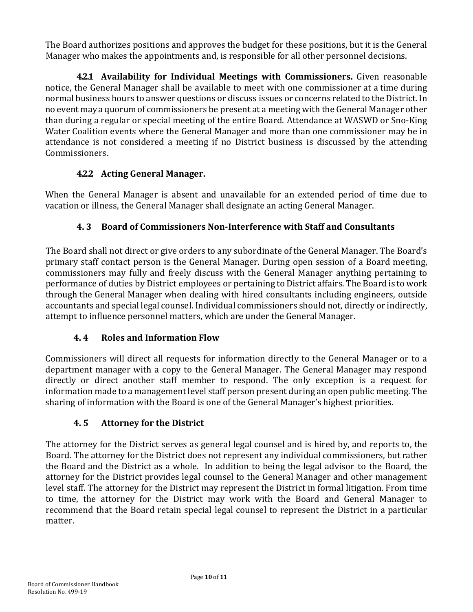The Board authorizes positions and approves the budget for these positions, but it is the General Manager who makes the appointments and, is responsible for all other personnel decisions.

**4.2.1 Availability for Individual Meetings with Commissioners.** Given reasonable notice, the General Manager shall be available to meet with one commissioner at a time during normal business hours to answer questions or discuss issues or concerns related to the District. In no event may a quorum of commissioners be present at a meeting with the General Manager other than during a regular or special meeting of the entire Board. Attendance at WASWD or Sno-King Water Coalition events where the General Manager and more than one commissioner may be in attendance is not considered a meeting if no District business is discussed by the attending Commissioners.

### **4.2.2 Acting General Manager.**

When the General Manager is absent and unavailable for an extended period of time due to vacation or illness, the General Manager shall designate an acting General Manager.

### **4. 3 Board of Commissioners Non-Interference with Staff and Consultants**

The Board shall not direct or give orders to any subordinate of the General Manager. The Board's primary staff contact person is the General Manager. During open session of a Board meeting, commissioners may fully and freely discuss with the General Manager anything pertaining to performance of duties by District employees or pertaining to District affairs. The Board is to work through the General Manager when dealing with hired consultants including engineers, outside accountants and special legal counsel. Individual commissioners should not, directly or indirectly, attempt to influence personnel matters, which are under the General Manager.

#### **4. 4 Roles and Information Flow**

Commissioners will direct all requests for information directly to the General Manager or to a department manager with a copy to the General Manager. The General Manager may respond directly or direct another staff member to respond. The only exception is a request for information made to a management level staff person present during an open public meeting. The sharing of information with the Board is one of the General Manager's highest priorities.

#### **4. 5 Attorney for the District**

The attorney for the District serves as general legal counsel and is hired by, and reports to, the Board. The attorney for the District does not represent any individual commissioners, but rather the Board and the District as a whole. In addition to being the legal advisor to the Board, the attorney for the District provides legal counsel to the General Manager and other management level staff. The attorney for the District may represent the District in formal litigation. From time to time, the attorney for the District may work with the Board and General Manager to recommend that the Board retain special legal counsel to represent the District in a particular matter.